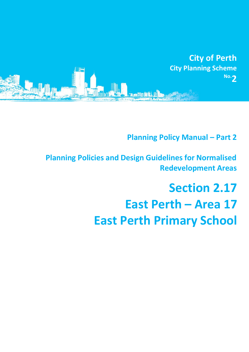

**Planning Policy Manual - Part 2** 

**Planning Policies and Design Guidelines for Normalised Redevelopment Areas**

# **Section 2.17 East Perth – Area 17 East Perth Primary School**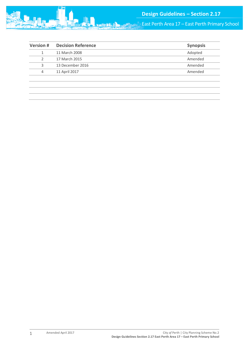

| <b>Version#</b> | <b>Decision Reference</b> | <b>Synopsis</b> |
|-----------------|---------------------------|-----------------|
|                 | 11 March 2008             | Adopted         |
|                 | 17 March 2015             | Amended         |
| 3               | 13 December 2016          | Amended         |
| 4               | 11 April 2017             | Amended         |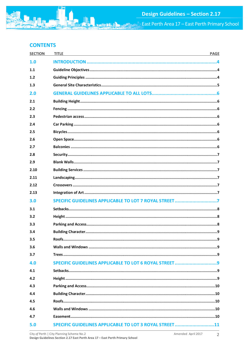

# **CONTENTS**

| <b>SECTION</b> | <b>TITLE</b><br><b>PAGE</b><br><u> 1989 - Johann Stoff, deutscher Stoff, der Stoff, der Stoff, der Stoff, der Stoff, der Stoff, der Stoff, der S</u> |  |
|----------------|------------------------------------------------------------------------------------------------------------------------------------------------------|--|
| 1.0            |                                                                                                                                                      |  |
| 1.1            |                                                                                                                                                      |  |
| 1.2            |                                                                                                                                                      |  |
| 1.3            |                                                                                                                                                      |  |
| 2.0            |                                                                                                                                                      |  |
| 2.1            |                                                                                                                                                      |  |
| 2.2            |                                                                                                                                                      |  |
| 2.3            |                                                                                                                                                      |  |
| 2.4            |                                                                                                                                                      |  |
| 2.5            |                                                                                                                                                      |  |
| 2.6            |                                                                                                                                                      |  |
| 2.7            |                                                                                                                                                      |  |
| 2.8            |                                                                                                                                                      |  |
| 2.9            |                                                                                                                                                      |  |
| 2.10           |                                                                                                                                                      |  |
| 2.11           |                                                                                                                                                      |  |
| 2.12           |                                                                                                                                                      |  |
| 2.13           |                                                                                                                                                      |  |
| 3.0            | SPECIFIC GUIDELINES APPLICABLE TO LOT 7 ROYAL STREET7                                                                                                |  |
| 3.1            |                                                                                                                                                      |  |
| 3.2            |                                                                                                                                                      |  |
| 3.3            |                                                                                                                                                      |  |
| 3.4            |                                                                                                                                                      |  |
| 3.5            |                                                                                                                                                      |  |
| 3.6            |                                                                                                                                                      |  |
| 3.7            |                                                                                                                                                      |  |
| 4.0            |                                                                                                                                                      |  |
| 4.1            |                                                                                                                                                      |  |
| 4.2            |                                                                                                                                                      |  |
| 4.3            |                                                                                                                                                      |  |
| 4.4            |                                                                                                                                                      |  |
| 4.5            |                                                                                                                                                      |  |
| 4.6            |                                                                                                                                                      |  |
| 4.7            |                                                                                                                                                      |  |
| 5.0            | SPECIFIC GUIDELINES APPLICABLE TO LOT 3 ROYAL STREET11                                                                                               |  |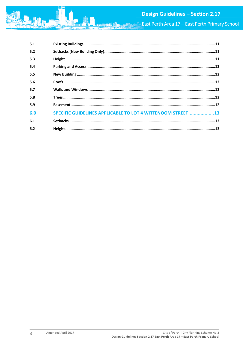

| 5.1 | $\textbf{Existing Building} \textbf{s} \textit{} \textit{} \textit{} \textit{} \textit{} \textit{} \textit{} \textit{} \textit{} \textit{} \textit{} \textit{} \textit{} \textit{} \textit{} \textit{} \textit{} \textit{} \textit{} \textit{} \textit{} \textit{} \textit{} \textit{} \textit{} \textit{} \textit{} \textit{} \textit{} \textit{} \textit{} \textit{} \textit{} \textit{} \text$ |
|-----|---------------------------------------------------------------------------------------------------------------------------------------------------------------------------------------------------------------------------------------------------------------------------------------------------------------------------------------------------------------------------------------------------|
| 5.2 |                                                                                                                                                                                                                                                                                                                                                                                                   |
| 5.3 |                                                                                                                                                                                                                                                                                                                                                                                                   |
| 5.4 |                                                                                                                                                                                                                                                                                                                                                                                                   |
| 5.5 |                                                                                                                                                                                                                                                                                                                                                                                                   |
| 5.6 |                                                                                                                                                                                                                                                                                                                                                                                                   |
| 5.7 |                                                                                                                                                                                                                                                                                                                                                                                                   |
| 5.8 |                                                                                                                                                                                                                                                                                                                                                                                                   |
| 5.9 |                                                                                                                                                                                                                                                                                                                                                                                                   |
| 6.0 | SPECIFIC GUIDELINES APPLICABLE TO LOT 4 WITTENOOM STREET13                                                                                                                                                                                                                                                                                                                                        |
| 6.1 |                                                                                                                                                                                                                                                                                                                                                                                                   |
| 6.2 |                                                                                                                                                                                                                                                                                                                                                                                                   |

Amended April 2017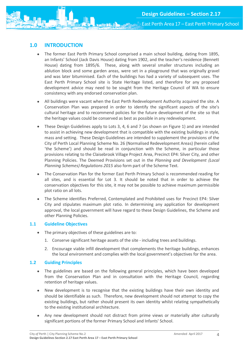

# <span id="page-4-0"></span>**1.0 INTRODUCTION**

- The former East Perth Primary School comprised a main school building, dating from 1895, an Infants' School (Jack Davis House) dating from 1902, and the teacher's residence (Bennett House) dating from 1895/6. These, along with several smaller structures including an ablution block and some garden areas, were set in a playground that was originally gravel and was later bituminised. Each of the buildings has had a variety of subsequent uses. The East Perth Primary School site is State Heritage listed, and therefore for any proposed development advice may need to be sought from the Heritage Council of WA to ensure consistency with any endorsed conservation plan.
- All buildings were vacant when the East Perth Redevelopment Authority acquired the site. A Conservation Plan was prepared in order to identify the significant aspects of the site's cultural heritage and to recommend policies for the future development of the site so that the heritage values could be conserved as best as possible in any redevelopment.
- These Design Guidelines apply to Lots 3, 4, 6 and 7 (as shown on Figure 1) and are intended to assist in achieving new development that is compatible with the existing buildings in style, mass and setting. These Design Guidelines are intended to supplement the provisions of the City of Perth Local Planning Scheme No. 26 (Normalised Redevelopment Areas) (herein called 'the Scheme') and should be read in conjunction with the Scheme, in particular those provisions relating to the Claisebrook Village Project Area, Precinct EP4: Silver City, and other Planning Policies. The Deemed Provisions set out in the *Planning and Development (Local Planning Schemes) Regulations 2015* also form part of the Scheme Text.
- The Conservation Plan for the former East Perth Primary School is recommended reading for all sites, and is essential for Lot 3. It should be noted that in order to achieve the conservation objectives for this site, it may not be possible to achieve maximum permissible plot ratio on all lots.
- The Scheme identifies Preferred, Contemplated and Prohibited uses for Precinct EP4: Silver City and stipulates maximum plot ratio. In determining any application for development approval, the local government will have regard to these Design Guidelines, the Scheme and other Planning Policies.

# <span id="page-4-1"></span>**1.1 Guideline Objectives**

- The primary objectives of these guidelines are to:
	- 1. Conserve significant heritage assets of the site including trees and buildings.
	- 2. Encourage viable infill development that complements the heritage buildings, enhances the local environment and complies with the local government's objectives for the area.

# <span id="page-4-2"></span>**1.2 Guiding Principles**

- The guidelines are based on the following general principles, which have been developed from the Conservation Plan and in consultation with the Heritage Council, regarding retention of heritage values.
- New development is to recognise that the existing buildings have their own identity and should be identifiable as such. Therefore, new development should not attempt to copy the existing buildings, but rather should present its own identity whilst relating sympathetically to the existing institutional architecture.
- Any new development should not distract from prime views or materially alter culturally significant portions of the former Primary School and Infants' School.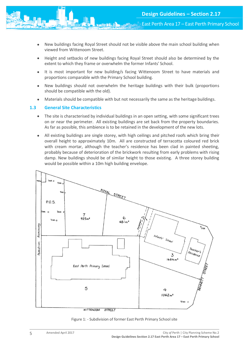- New buildings facing Royal Street should not be visible above the main school building when viewed from Wittenoom Street.
- Height and setbacks of new buildings facing Royal Street should also be determined by the extent to which they frame or overwhelm the former Infants' School.
- It is most important for new building/s facing Wittenoom Street to have materials and proportions comparable with the Primary School building.
- New buildings should not overwhelm the heritage buildings with their bulk (proportions should be compatible with the old).
- Materials should be compatible with but not necessarily the same as the heritage buildings.

# <span id="page-5-0"></span>**1.3 General Site Characteristics**

- The site is characterised by individual buildings in an open setting, with some significant trees on or near the perimeter. All existing buildings are set back from the property boundaries. As far as possible, this ambience is to be retained in the development of the new lots.
- All existing buildings are single storey, with high ceilings and pitched roofs which bring their overall height to approximately 10m. All are constructed of terracotta coloured red brick with cream mortar, although the teacher's residence has been clad in painted sheeting, probably because of deterioration of the brickwork resulting from early problems with rising damp. New buildings should be of similar height to those existing. A three storey building would be possible within a 10m high building envelope.



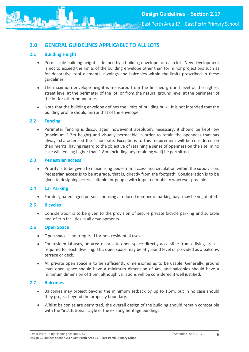# <span id="page-6-0"></span>**2.0 GENERAL GUIDELINES APPLICABLE TO ALL LOTS**

# <span id="page-6-1"></span>**2.1 Building Height**

- Permissible building height is defined by a building envelope for each lot. New development is not to exceed the limits of the building envelope other than for minor projections such as for decorative roof elements, awnings and balconies within the limits prescribed in these guidelines.
- The maximum envelope height is measured from the finished ground level of the highest street level at the perimeter of the lot, or from the natural ground level at the perimeter of the lot for other boundaries.
- Note that the building envelope defines the limits of building bulk. It is not intended that the building profile should mirror that of the envelope.

# <span id="page-6-2"></span>**2.2 Fencing**

• Perimeter fencing is discouraged, however if absolutely necessary, it should be kept low (maximum 1.2m height) and visually permeable in order to retain the openness that has always characterised the school site. Exceptions to this requirement will be considered on their merits, having regard to the objective of retaining a sense of openness on the site. In no case will fencing higher than 1.8m (including any retaining wall) be permitted.

# <span id="page-6-3"></span>**2.3 Pedestrian access**

 Priority is to be given to maximising pedestrian access and circulation within the subdivision. Pedestrian access is to be at grade, that is, directly from the footpath. Consideration is to be given to designing access suitable for people with impaired mobility wherever possible.

# <span id="page-6-4"></span>**2.4 Car Parking**

For designated 'aged persons' housing a reduced number of parking bays may be negotiated.

#### <span id="page-6-5"></span>**2.5 Bicycles**

 Consideration is to be given to the provision of secure private bicycle parking and suitable end-of-trip facilities in all developments.

# <span id="page-6-6"></span>**2.6 Open Space**

- Open space is not required for non-residential uses.
- For residential uses, an area of private open space directly accessible from a living area is required for each dwelling. This open space may be at ground level or provided as a balcony, terrace or deck.
- All private open space is to be sufficiently dimensioned as to be usable. Generally, ground level open space should have a minimum dimension of 4m, and balconies should have a minimum dimension of 1.5m, although variations will be considered if well justified.

# <span id="page-6-7"></span>**2.7 Balconies**

- Balconies may project beyond the minimum setback by up to 1.5m, but in no case should they project beyond the property boundary.
- Whilst balconies are permitted, the overall design of the building should remain compatible with the "institutional" style of the existing heritage buildings.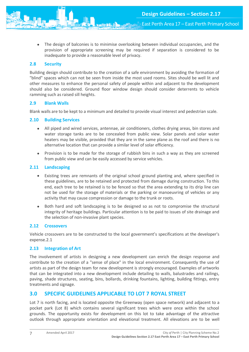The design of balconies is to minimise overlooking between individual occupancies, and the provision of appropriate screening may be required if separation is considered to be inadequate to provide a reasonable level of privacy.

#### <span id="page-7-0"></span>**2.8 Security**

Building design should contribute to the creation of a safe environment by avoiding the formation of "blind" spaces which can not be seen from inside the most used rooms. Sites should be well lit and other measures to enhance the personal safety of people within and adjacent to the development should also be considered. Ground floor window design should consider deterrents to vehicle ramming such as raised sill heights.

# <span id="page-7-1"></span>**2.9 Blank Walls**

Blank walls are to be kept to a minimum and detailed to provide visual interest and pedestrian scale.

#### <span id="page-7-2"></span>**2.10 Building Services**

- All piped and wired services, antennae, air conditioners, clothes drying areas, bin stores and water storage tanks are to be concealed from public view. Solar panels and solar water heaters may be visible, provided that they are in the same plane as the roof and there is no alternative location that can provide a similar level of solar efficiency.
- Provision is to be made for the storage of rubbish bins in such a way as they are screened from public view and can be easily accessed by service vehicles.

# <span id="page-7-3"></span>**2.11 Landscaping**

- Existing trees are remnants of the original school ground planting and, where specified in these guidelines, are to be retained and protected from damage during construction. To this end, each tree to be retained is to be fenced so that the area extending to its drip line can not be used for the storage of materials or the parking or manoeuvring of vehicles or any activity that may cause compression or damage to the trunk or roots.
- Both hard and soft landscaping is to be designed so as not to compromise the structural integrity of heritage buildings. Particular attention is to be paid to issues of site drainage and the selection of non-invasive plant species.

#### <span id="page-7-4"></span>**2.12 Crossovers**

Vehicle crossovers are to be constructed to the local government's specifications at the developer's expense.2.1

# <span id="page-7-5"></span>**2.13 Integration of Art**

The involvement of artists in designing a new development can enrich the design response and contribute to the creation of a "sense of place" in the local environment. Consequently the use of artists as part of the design team for new development is strongly encouraged. Examples of artworks that can be integrated into a new development include detailing to walls, balustrades and railings, paving, shade structures, seating, bins, bollards, drinking fountains, lighting, building fittings, entry treatments and signage.

# <span id="page-7-6"></span>**3.0 SPECIFIC GUIDELINES APPLICABLE TO LOT 7 ROYAL STREET**

Lot 7 is north facing, and is located opposite the Greenway (open space network) and adjacent to a pocket park (Lot 8) which contains several significant trees which were once within the school grounds. The opportunity exists for development on this lot to take advantage of the attractive outlook through appropriate orientation and elevational treatment. All elevations are to be well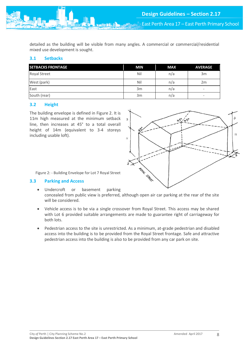detailed as the building will be visible from many angles. A commercial or commercial/residential mixed use development is sought.

# <span id="page-8-0"></span>**3.1 Setbacks**

| <b>SETBACKS FRONTAGE</b> | <b>MIN</b> | <b>MAX</b> | <b>AVERAGE</b>               |
|--------------------------|------------|------------|------------------------------|
| Royal Street             | Nil        | n/a        | 3m                           |
| West (park)              | Nil        | n/a        | 2m                           |
| East                     | 3m         | n/a        | ۰                            |
| South (rear)             | 3m         | n/a        | $\qquad \qquad \blacksquare$ |

# <span id="page-8-1"></span>**3.2 Height**

The building envelope is defined in Figure 2. It is 11m high measured at the minimum setback line, then increases at 45° to a total overall height of 14m (equivalent to 3-4 storeys including usable loft).



Figure 2: - Building Envelope for Lot 7 Royal Street

#### <span id="page-8-2"></span>**3.3 Parking and Access**

- Undercroft or basement parking concealed from public view is preferred, although open air car parking at the rear of the site will be considered.
- Vehicle access is to be via a single crossover from Royal Street. This access may be shared with Lot 6 provided suitable arrangements are made to guarantee right of carriageway for both lots.
- Pedestrian access to the site is unrestricted. As a minimum, at-grade pedestrian and disabled access into the building is to be provided from the Royal Street frontage. Safe and attractive pedestrian access into the building is also to be provided from any car park on site.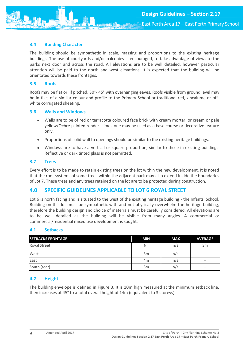#### <span id="page-9-0"></span>**3.4 Building Character**

The building should be sympathetic in scale, massing and proportions to the existing heritage buildings. The use of courtyards and/or balconies is encouraged, to take advantage of views to the parks next door and across the road. All elevations are to be well detailed, however particular attention will be paid to the north and west elevations. It is expected that the building will be orientated towards these frontages.

#### <span id="page-9-1"></span>**3.5 Roofs**

Roofs may be flat or, if pitched, 30°- 45° with overhanging eaves. Roofs visible from ground level may be in tiles of a similar colour and profile to the Primary School or traditional red, zincalume or offwhite corrugated sheeting.

#### <span id="page-9-2"></span>**3.6 Walls and Windows**

- Walls are to be of red or terracotta coloured face brick with cream mortar, or cream or pale yellow/Ochre painted render. Limestone may be used as a base course or decorative feature only.
- Proportions of solid wall to openings should be similar to the existing heritage buildings.
- Windows are to have a vertical or square proportion, similar to those in existing buildings. Reflective or dark tinted glass is not permitted.

#### <span id="page-9-3"></span>**3.7 Trees**

Every effort is to be made to retain existing trees on the lot within the new development. It is noted that the root systems of some trees within the adjacent park may also extend inside the boundaries of Lot 7. These trees and any trees retained on the lot are to be protected during construction.

# <span id="page-9-4"></span>**4.0 SPECIFIC GUIDELINES APPLICABLE TO LOT 6 ROYAL STREET**

Lot 6 is north facing and is situated to the west of the existing heritage building - the Infants' School. Building on this lot must be sympathetic with and not physically overwhelm the heritage building, therefore the building design and choice of materials must be carefully considered. All elevations are to be well detailed as the building will be visible from many angles. A commercial or commercial/residential mixed use development is sought.

#### <span id="page-9-5"></span>**4.1 Setbacks**

| <b>SETBACKS FRONTAGE</b> | <b>MIN</b>     | <b>MAX</b> | <b>AVERAGE</b>           |
|--------------------------|----------------|------------|--------------------------|
| <b>Royal Street</b>      | Nil            | n/a        | 3m                       |
| West                     | 3m             | n/a        |                          |
| East                     | 4 <sub>m</sub> | n/a        | -                        |
| South (rear)             | 3m             | n/a        | $\overline{\phantom{a}}$ |

#### <span id="page-9-6"></span>**4.2 Height**

The building envelope is defined in Figure 3. It is 10m high measured at the minimum setback line, then increases at 45° to a total overall height of 14m (equivalent to 3 storeys).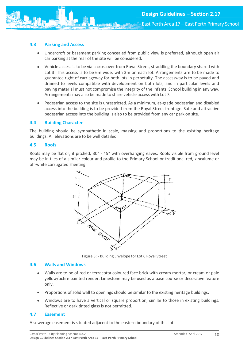# <span id="page-10-0"></span>**4.3 Parking and Access**

- Undercroft or basement parking concealed from public view is preferred, although open air car parking at the rear of the site will be considered.
- Vehicle access is to be via a crossover from Royal Street, straddling the boundary shared with Lot 3. This access is to be 6m wide, with 3m on each lot. Arrangements are to be made to guarantee right of carriageway for both lots in perpetuity. The accessway is to be paved and drained to levels compatible with development on both lots, and in particular levels and paving material must not compromise the integrity of the Infants' School building in any way. Arrangements may also be made to share vehicle access with Lot 7.
- Pedestrian access to the site is unrestricted. As a minimum, at-grade pedestrian and disabled access into the building is to be provided from the Royal Street frontage. Safe and attractive pedestrian access into the building is also to be provided from any car park on site.

#### <span id="page-10-1"></span>**4.4 Building Character**

The building should be sympathetic in scale, massing and proportions to the existing heritage buildings. All elevations are to be well detailed.

#### <span id="page-10-2"></span>**4.5 Roofs**

Roofs may be flat or, if pitched, 30° - 45° with overhanging eaves. Roofs visible from ground level may be in tiles of a similar colour and profile to the Primary School or traditional red, zincalume or off-white corrugated sheeting.



Figure 3: - Building Envelope for Lot 6 Royal Street

#### <span id="page-10-3"></span>**4.6 Walls and Windows**

- Walls are to be of red or terracotta coloured face brick with cream mortar, or cream or pale yellow/ochre painted render. Limestone may be used as a base course or decorative feature only.
- Proportions of solid wall to openings should be similar to the existing heritage buildings.
- Windows are to have a vertical or square proportion, similar to those in existing buildings. Reflective or dark tinted glass is not permitted.

#### <span id="page-10-4"></span>**4.7 Easement**

A sewerage easement is situated adjacent to the eastern boundary of this lot.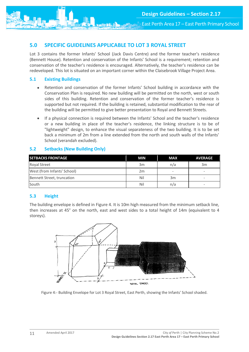# <span id="page-11-0"></span>**5.0 SPECIFIC GUIDELINES APPLICABLE TO LOT 3 ROYAL STREET**

Lot 3 contains the former Infants' School (Jack Davis Centre) and the former teacher's residence (Bennett House). Retention and conservation of the Infants' School is a requirement; retention and conservation of the teacher's residence is encouraged. Alternatively, the teacher's residence can be redeveloped. This lot is situated on an important corner within the Claisebrook Village Project Area.

# <span id="page-11-1"></span>**5.1 Existing Buildings**

- Retention and conservation of the former Infants' School building in accordance with the Conservation Plan is required. No new building will be permitted on the north, west or south sides of this building. Retention and conservation of the former teacher's residence is supported but not required. If the building is retained, substantial modification to the rear of the building will be permitted to give better presentation to Royal and Bennett Streets.
- If a physical connection is required between the Infants' School and the teacher's residence or a new building in place of the teacher's residence, the linking structure is to be of "lightweight" design, to enhance the visual separateness of the two building. It is to be set back a minimum of 2m from a line extended from the north and south walls of the Infants' School (verandah excluded).

# <span id="page-11-2"></span>**5.2 Setbacks (New Building Only)**

| <b>SETBACKS FRONTAGE</b>    | <b>MIN</b> | <b>MAX</b> | <b>AVERAGE</b>           |
|-----------------------------|------------|------------|--------------------------|
| <b>Royal Street</b>         | 3m         | n/a        | 3m                       |
| West (from Infants' School) | 2m         | -          | $\overline{\phantom{a}}$ |
| Bennett Street, truncation  | Nil        | 3m         | ۰                        |
| South                       | Nil        | n/a        |                          |

#### <span id="page-11-3"></span>**5.3 Height**

The building envelope is defined in Figure 4. It is 10m high measured from the minimum setback line, then increases at 45° on the north, east and west sides to a total height of 14m (equivalent to 4 storeys).



Figure 4:- Building Envelope for Lot 3 Royal Street, East Perth, showing the Infants' School shaded.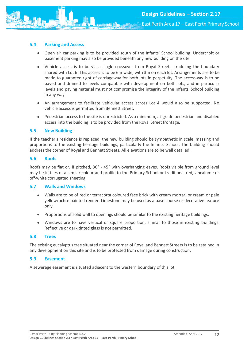# <span id="page-12-0"></span>**5.4 Parking and Access**

- Open air car parking is to be provided south of the Infants' School building. Undercroft or basement parking may also be provided beneath any new building on the site.
- Vehicle access is to be via a single crossover from Royal Street, straddling the boundary shared with Lot 6. This access is to be 6m wide, with 3m on each lot. Arrangements are to be made to guarantee right of carriageway for both lots in perpetuity. The accessway is to be paved and drained to levels compatible with development on both lots, and in particular levels and paving material must not compromise the integrity of the Infants' School building in any way.
- An arrangement to facilitate vehicular access across Lot 4 would also be supported. No vehicle access is permitted from Bennett Street.
- Pedestrian access to the site is unrestricted. As a minimum, at-grade pedestrian and disabled access into the building is to be provided from the Royal Street frontage.

#### <span id="page-12-1"></span>**5.5 New Building**

If the teacher's residence is replaced, the new building should be sympathetic in scale, massing and proportions to the existing heritage buildings, particularly the Infants' School. The building should address the corner of Royal and Bennett Streets. All elevations are to be well detailed.

#### <span id="page-12-2"></span>**5.6 Roofs**

Roofs may be flat or, if pitched, 30° - 45° with overhanging eaves. Roofs visible from ground level may be in tiles of a similar colour and profile to the Primary School or traditional red, zincalume or off-white corrugated sheeting.

#### <span id="page-12-3"></span>**5.7 Walls and Windows**

- Walls are to be of red or terracotta coloured face brick with cream mortar, or cream or pale yellow/ochre painted render. Limestone may be used as a base course or decorative feature only.
- Proportions of solid wall to openings should be similar to the existing heritage buildings.
- Windows are to have vertical or square proportion, similar to those in existing buildings. Reflective or dark tinted glass is not permitted.

#### <span id="page-12-4"></span>**5.8 Trees**

The existing eucalyptus tree situated near the corner of Royal and Bennett Streets is to be retained in any development on this site and is to be protected from damage during construction.

#### <span id="page-12-5"></span>**5.9 Easement**

A sewerage easement is situated adjacent to the western boundary of this lot.